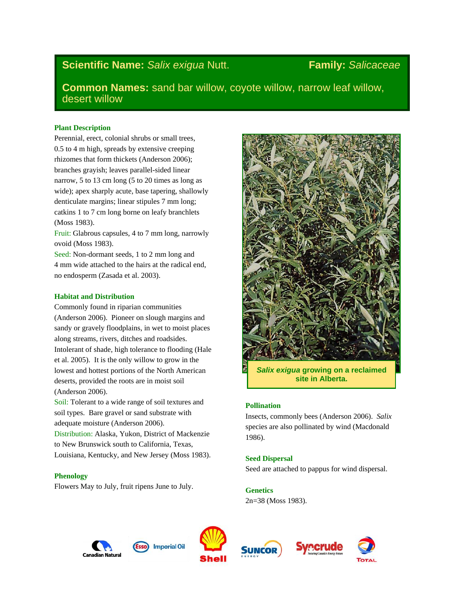# **Scientific Name:** *Salix exigua* Nutt. **Family:** *Salicaceae*

**Common Names:** sand bar willow, coyote willow, narrow leaf willow, desert willow

# **Plant Description**

Perennial, erect, colonial shrubs or small trees, 0.5 to 4 m high, spreads by extensive creeping rhizomes that form thickets (Anderson 2006); branches grayish; leaves parallel-sided linear narrow, 5 to 13 cm long (5 to 20 times as long as wide); apex sharply acute, base tapering, shallowly denticulate margins; linear stipules 7 mm long; catkins 1 to 7 cm long borne on leafy branchlets (Moss 1983).

Fruit: Glabrous capsules, 4 to 7 mm long, narrowly ovoid (Moss 1983).

Seed: Non-dormant seeds, 1 to 2 mm long and 4 mm wide attached to the hairs at the radical end, no endosperm (Zasada et al. 2003).

# **Habitat and Distribution**

Commonly found in riparian communities (Anderson 2006). Pioneer on slough margins and sandy or gravely floodplains, in wet to moist places along streams, rivers, ditches and roadsides. Intolerant of shade, high tolerance to flooding (Hale et al. 2005). It is the only willow to grow in the lowest and hottest portions of the North American deserts, provided the roots are in moist soil (Anderson 2006).

Soil: Tolerant to a wide range of soil textures and soil types. Bare gravel or sand substrate with adequate moisture (Anderson 2006).

Distribution: Alaska, Yukon, District of Mackenzie to New Brunswick south to California, Texas, Louisiana, Kentucky, and New Jersey (Moss 1983).

# **Phenology**

Flowers May to July, fruit ripens June to July.



*Salix exigua* **growing on a reclaimed site in Alberta.**

# **Pollination**

Insects, commonly bees (Anderson 2006). *Salix* species are also pollinated by wind (Macdonald 1986).

# **Seed Dispersal**

Seed are attached to pappus for wind dispersal.

**Genetics**

2n=38 (Moss 1983).









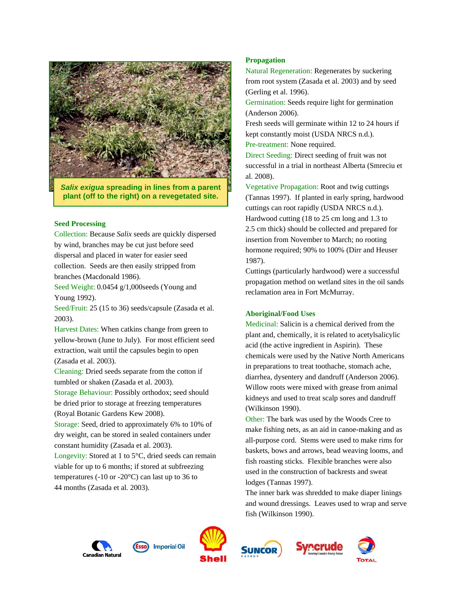

*Salix exigua* **spreading in lines from a parent plant (off to the right) on a revegetated site.**

#### **Seed Processing**

Collection: Because *Salix* seeds are quickly dispersed by wind, branches may be cut just before seed dispersal and placed in water for easier seed collection. Seeds are then easily stripped from branches (Macdonald 1986).

Seed Weight: 0.0454 g/1,000seeds (Young and Young 1992).

Seed/Fruit: 25 (15 to 36) seeds/capsule (Zasada et al. 2003).

Harvest Dates: When catkins change from green to yellow-brown (June to July). For most efficient seed extraction, wait until the capsules begin to open (Zasada et al. 2003).

Cleaning: Dried seeds separate from the cotton if tumbled or shaken (Zasada et al. 2003).

Storage Behaviour: Possibly orthodox; seed should be dried prior to storage at freezing temperatures (Royal Botanic Gardens Kew 2008).

Storage: Seed, dried to approximately 6% to 10% of dry weight, can be stored in sealed containers under constant humidity (Zasada et al. 2003).

Longevity: Stored at 1 to 5°C, dried seeds can remain viable for up to 6 months; if stored at subfreezing temperatures (-10 or -20 $^{\circ}$ C) can last up to 36 to 44 months (Zasada et al*.* 2003).

# **Propagation**

Natural Regeneration: Regenerates by suckering from root system (Zasada et al. 2003) and by seed (Gerling et al. 1996).

Germination: Seeds require light for germination (Anderson 2006).

Fresh seeds will germinate within 12 to 24 hours if kept constantly moist (USDA NRCS n.d.). Pre-treatment: None required.

Direct Seeding: Direct seeding of fruit was not successful in a trial in northeast Alberta (Smreciu et al. 2008).

Vegetative Propagation: Root and twig cuttings (Tannas 1997). If planted in early spring, hardwood cuttings can root rapidly (USDA NRCS n.d.). Hardwood cutting (18 to 25 cm long and 1.3 to 2.5 cm thick) should be collected and prepared for insertion from November to March; no rooting hormone required; 90% to 100% (Dirr and Heuser 1987).

Cuttings (particularly hardwood) were a successful propagation method on wetland sites in the oil sands reclamation area in Fort McMurray.

#### **Aboriginal/Food Uses**

Medicinal: Salicin is a chemical derived from the plant and, chemically, it is related to acetylsalicylic acid (the active ingredient in Aspirin). These chemicals were used by the Native North Americans in preparations to treat toothache, stomach ache, diarrhea, dysentery and dandruff (Anderson 2006). Willow roots were mixed with grease from animal kidneys and used to treat scalp sores and dandruff (Wilkinson 1990).

Other: The bark was used by the Woods Cree to make fishing nets, as an aid in canoe-making and as all-purpose cord. Stems were used to make rims for baskets, bows and arrows, bead weaving looms, and fish roasting sticks. Flexible branches were also used in the construction of backrests and sweat lodges (Tannas 1997).

The inner bark was shredded to make diaper linings and wound dressings. Leaves used to wrap and serve fish (Wilkinson 1990).









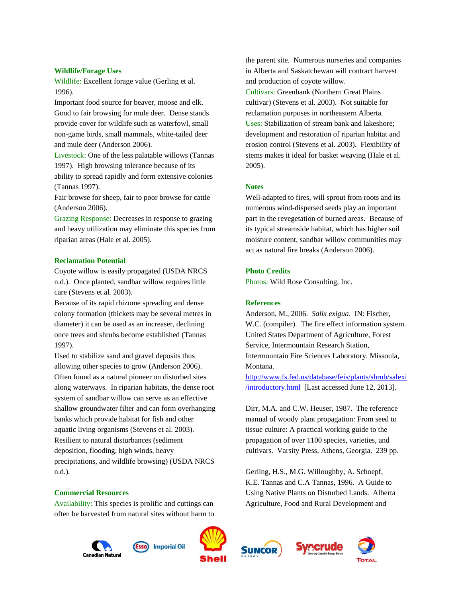#### **Wildlife/Forage Uses**

Wildlife: Excellent forage value (Gerling et al. 1996).

Important food source for beaver, moose and elk. Good to fair browsing for mule deer. Dense stands provide cover for wildlife such as waterfowl, small non-game birds, small mammals, white-tailed deer and mule deer (Anderson 2006).

Livestock: One of the less palatable willows (Tannas 1997). High browsing tolerance because of its ability to spread rapidly and form extensive colonies (Tannas 1997).

Fair browse for sheep, fair to poor browse for cattle (Anderson 2006).

Grazing Response: Decreases in response to grazing and heavy utilization may eliminate this species from riparian areas (Hale et al. 2005).

#### **Reclamation Potential**

Coyote willow is easily propagated (USDA NRCS n.d.). Once planted, sandbar willow requires little care (Stevens et al*.* 2003).

Because of its rapid rhizome spreading and dense colony formation (thickets may be several metres in diameter) it can be used as an increaser, declining once trees and shrubs become established (Tannas 1997).

Used to stabilize sand and gravel deposits thus allowing other species to grow (Anderson 2006). Often found as a natural pioneer on disturbed sites along waterways. In riparian habitats, the dense root system of sandbar willow can serve as an effective shallow groundwater filter and can form overhanging banks which provide habitat for fish and other aquatic living organisms (Stevens et al. 2003). Resilient to natural disturbances (sediment deposition, flooding, high winds, heavy precipitations, and wildlife browsing) (USDA NRCS n.d.).

# **Commercial Resources**

Availability: This species is prolific and cuttings can often be harvested from natural sites without harm to

the parent site. Numerous nurseries and companies in Alberta and Saskatchewan will contract harvest and production of coyote willow. Cultivars: Greenbank (Northern Great Plains cultivar) (Stevens et al. 2003). Not suitable for reclamation purposes in northeastern Alberta. Uses: Stabilization of stream bank and lakeshore; development and restoration of riparian habitat and erosion control (Stevens et al. 2003). Flexibility of stems makes it ideal for basket weaving (Hale et al. 2005).

#### **Notes**

Well-adapted to fires, will sprout from roots and its numerous wind-dispersed seeds play an important part in the revegetation of burned areas. Because of its typical streamside habitat, which has higher soil moisture content, sandbar willow communities may act as natural fire breaks (Anderson 2006).

#### **Photo Credits**

Photos: Wild Rose Consulting, Inc.

# **References**

Anderson, M., 2006. *Salix exigua*. IN: Fischer, W.C. (compiler). The fire effect information system. United States Department of Agriculture, Forest Service, Intermountain Research Station, Intermountain Fire Sciences Laboratory. Missoula, Montana.

[http://www.fs.fed.us/database/feis/plants/shrub/salexi](http://www.fs.fed.us/database/feis/plants/shrub/salexi/introductory.html) [/introductory.html](http://www.fs.fed.us/database/feis/plants/shrub/salexi/introductory.html) [Last accessed June 12, 2013].

Dirr, M.A. and C.W. Heuser, 1987. The reference manual of woody plant propagation: From seed to tissue culture: A practical working guide to the propagation of over 1100 species, varieties, and cultivars. Varsity Press, Athens, Georgia. 239 pp.

Gerling, H.S., M.G. Willoughby, A. Schoepf, K.E. Tannas and C.A Tannas, 1996. A Guide to Using Native Plants on Disturbed Lands. Alberta Agriculture, Food and Rural Development and